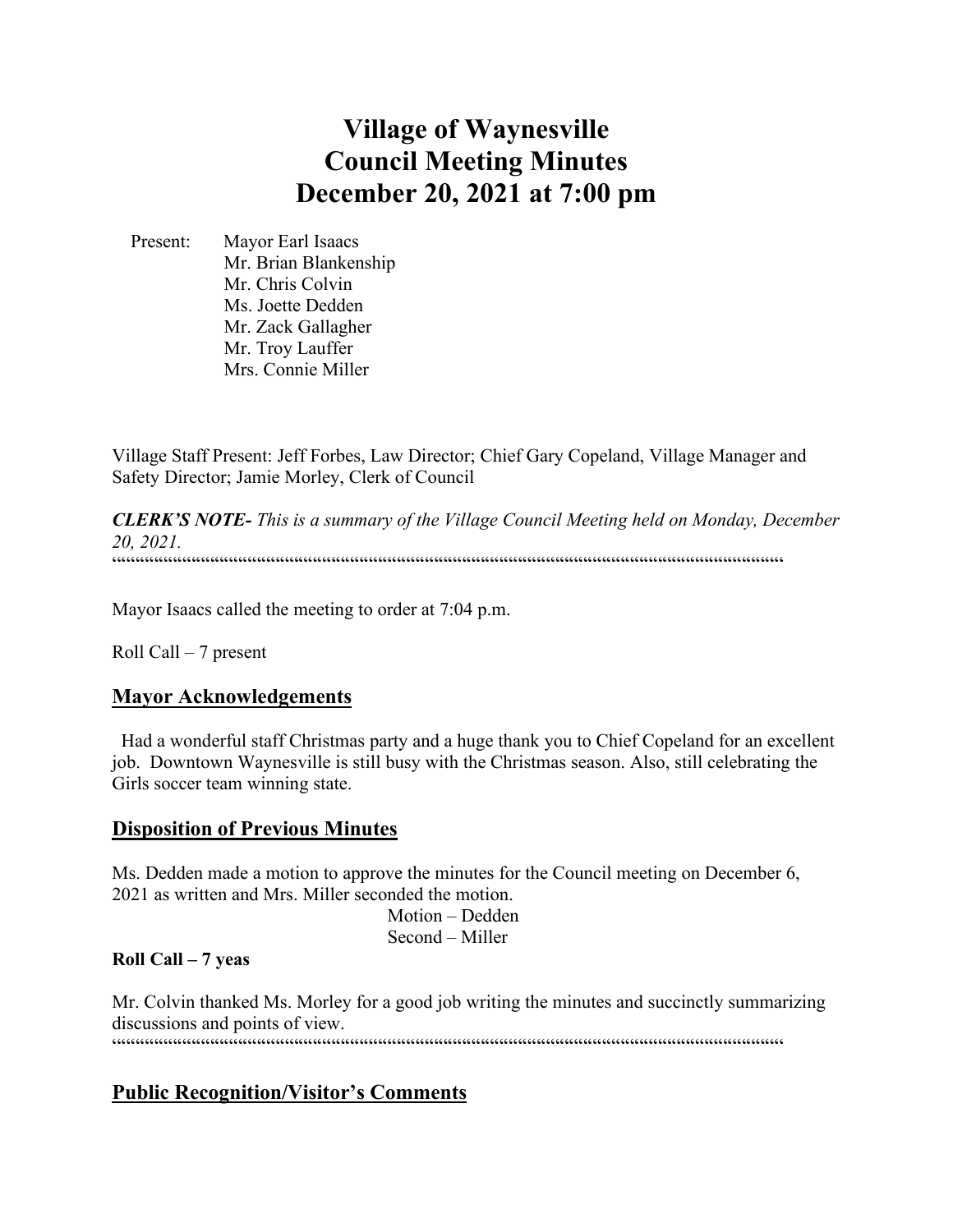# **Village of Waynesville Council Meeting Minutes December 20, 2021 at 7:00 pm**

 Present: Mayor Earl Isaacs Mr. Brian Blankenship Mr. Chris Colvin Ms. Joette Dedden Mr. Zack Gallagher Mr. Troy Lauffer Mrs. Connie Miller

Village Staff Present: Jeff Forbes, Law Director; Chief Gary Copeland, Village Manager and Safety Director; Jamie Morley, Clerk of Council

*CLERK'S NOTE- This is a summary of the Village Council Meeting held on Monday, December 20, 2021.*   $\label{prop:main} \hspace{15pt} \hspace{15pt} \textbf{if} \hspace{10pt} \begin{minipage}{0.9\textwidth} \centering \begin{minipage}{0.9\textwidth} \centering \centering \end{minipage} \hspace{10pt} \textbf{if} \hspace{10pt} \begin{minipage}{0.9\textwidth} \centering \centering \end{minipage} \hspace{10pt} \textbf{if} \hspace{10pt} \begin{minipage}{0.9\textwidth} \centering \centering \end{minipage} \hspace{10pt} \textbf{if} \hspace{10pt} \begin{minipage}{0.9\textwidth} \centering \center$ 

Mayor Isaacs called the meeting to order at 7:04 p.m.

Roll Call – 7 present

# **Mayor Acknowledgements**

 Had a wonderful staff Christmas party and a huge thank you to Chief Copeland for an excellent job. Downtown Waynesville is still busy with the Christmas season. Also, still celebrating the Girls soccer team winning state.

# **Disposition of Previous Minutes**

Ms. Dedden made a motion to approve the minutes for the Council meeting on December 6, 2021 as written and Mrs. Miller seconded the motion. Motion – Dedden

Second – Miller

# **Roll Call – 7 yeas**

Mr. Colvin thanked Ms. Morley for a good job writing the minutes and succinctly summarizing discussions and points of view.  $\label{prop:main}$ 

# **Public Recognition/Visitor's Comments**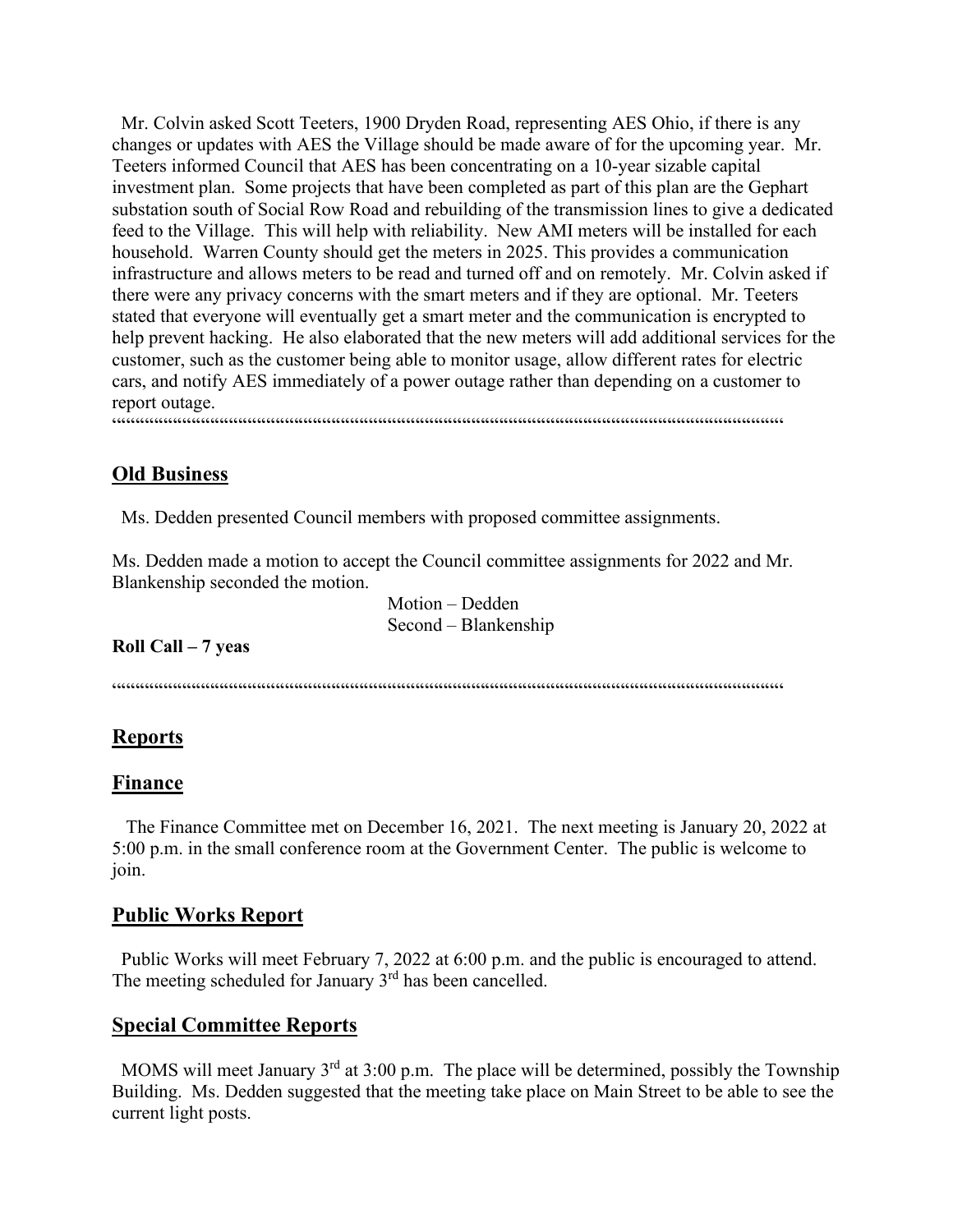Mr. Colvin asked Scott Teeters, 1900 Dryden Road, representing AES Ohio, if there is any changes or updates with AES the Village should be made aware of for the upcoming year. Mr. Teeters informed Council that AES has been concentrating on a 10-year sizable capital investment plan. Some projects that have been completed as part of this plan are the Gephart substation south of Social Row Road and rebuilding of the transmission lines to give a dedicated feed to the Village. This will help with reliability. New AMI meters will be installed for each household. Warren County should get the meters in 2025. This provides a communication infrastructure and allows meters to be read and turned off and on remotely. Mr. Colvin asked if there were any privacy concerns with the smart meters and if they are optional. Mr. Teeters stated that everyone will eventually get a smart meter and the communication is encrypted to help prevent hacking. He also elaborated that the new meters will add additional services for the customer, such as the customer being able to monitor usage, allow different rates for electric cars, and notify AES immediately of a power outage rather than depending on a customer to report outage.

#### """"""""""""""""""""""""""""""""""""""""""""""""""""""""""""""""""""""""

# **Old Business**

Ms. Dedden presented Council members with proposed committee assignments.

Ms. Dedden made a motion to accept the Council committee assignments for 2022 and Mr. Blankenship seconded the motion.

> Motion – Dedden Second – Blankenship

### **Roll Call – 7 yeas**

 $\label{prop:main} \hspace{1.5cm} \hspace{1.5cm} \hspace{1.5cm} \hspace{1.5cm} \hspace{1.5cm} \hspace{1.5cm} \hspace{1.5cm} \hspace{1.5cm} \hspace{1.5cm} \hspace{1.5cm} \hspace{1.5cm} \hspace{1.5cm} \hspace{1.5cm} \hspace{1.5cm} \hspace{1.5cm} \hspace{1.5cm} \hspace{1.5cm} \hspace{1.5cm} \hspace{1.5cm} \hspace{1.5cm} \hspace{1.5cm} \hspace{1.5cm} \hspace{1.5cm} \hspace{1.$ 

# **Reports**

### **Finance**

 The Finance Committee met on December 16, 2021. The next meeting is January 20, 2022 at 5:00 p.m. in the small conference room at the Government Center. The public is welcome to join.

### **Public Works Report**

 Public Works will meet February 7, 2022 at 6:00 p.m. and the public is encouraged to attend. The meeting scheduled for January  $3<sup>rd</sup>$  has been cancelled.

### **Special Committee Reports**

MOMS will meet January  $3<sup>rd</sup>$  at 3:00 p.m. The place will be determined, possibly the Township Building. Ms. Dedden suggested that the meeting take place on Main Street to be able to see the current light posts.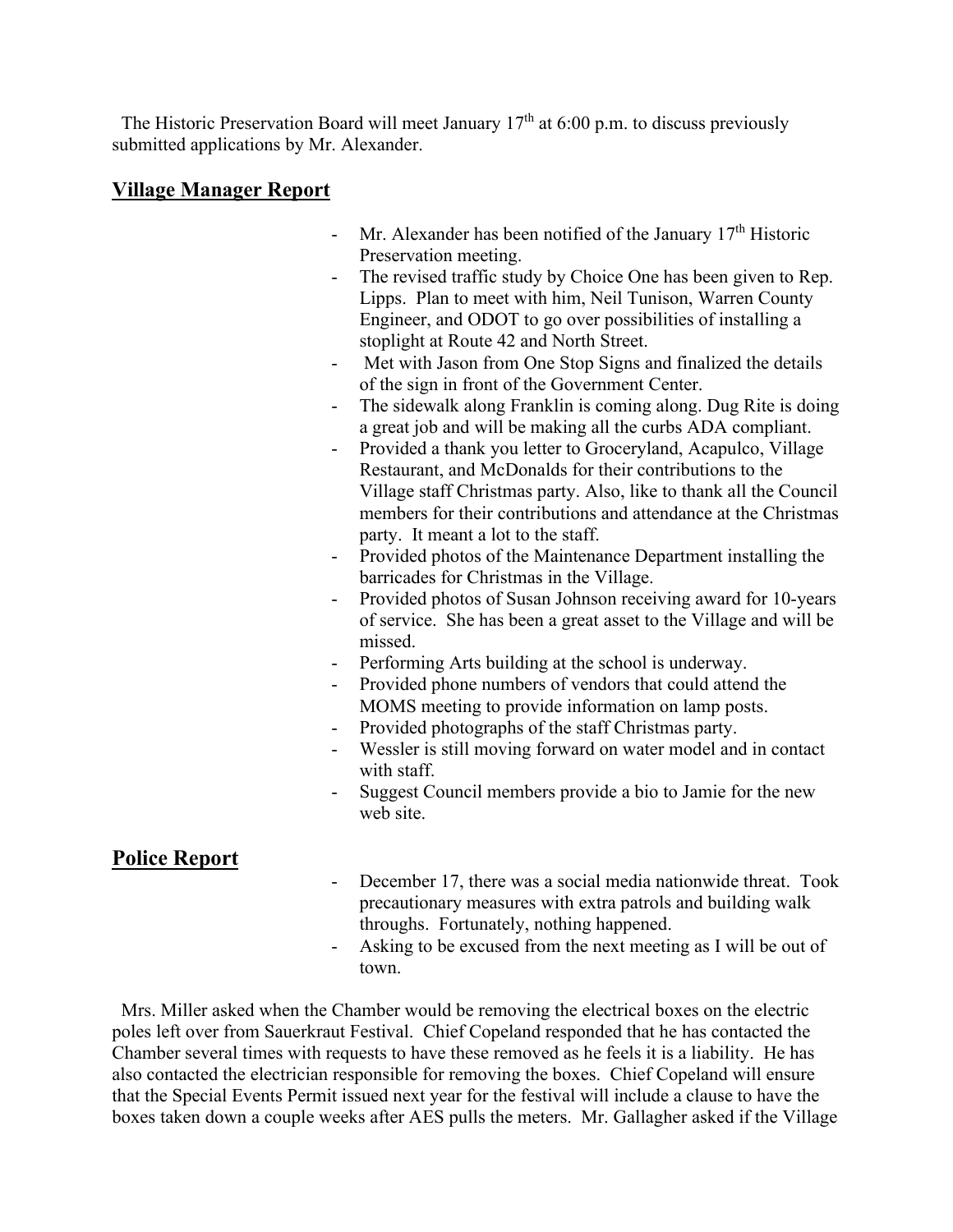The Historic Preservation Board will meet January  $17<sup>th</sup>$  at 6:00 p.m. to discuss previously submitted applications by Mr. Alexander.

# **Village Manager Report**

- Mr. Alexander has been notified of the January  $17<sup>th</sup>$  Historic Preservation meeting.
- The revised traffic study by Choice One has been given to Rep. Lipps. Plan to meet with him, Neil Tunison, Warren County Engineer, and ODOT to go over possibilities of installing a stoplight at Route 42 and North Street.
- Met with Jason from One Stop Signs and finalized the details of the sign in front of the Government Center.
- The sidewalk along Franklin is coming along. Dug Rite is doing a great job and will be making all the curbs ADA compliant.
- Provided a thank you letter to Groceryland, Acapulco, Village Restaurant, and McDonalds for their contributions to the Village staff Christmas party. Also, like to thank all the Council members for their contributions and attendance at the Christmas party. It meant a lot to the staff.
- Provided photos of the Maintenance Department installing the barricades for Christmas in the Village.
- Provided photos of Susan Johnson receiving award for 10-years of service. She has been a great asset to the Village and will be missed.
- Performing Arts building at the school is underway.
- Provided phone numbers of vendors that could attend the MOMS meeting to provide information on lamp posts.
- Provided photographs of the staff Christmas party.
- Wessler is still moving forward on water model and in contact with staff.
- Suggest Council members provide a bio to Jamie for the new web site.

# **Police Report**

- December 17, there was a social media nationwide threat. Took precautionary measures with extra patrols and building walk throughs. Fortunately, nothing happened.
- Asking to be excused from the next meeting as I will be out of town.

 Mrs. Miller asked when the Chamber would be removing the electrical boxes on the electric poles left over from Sauerkraut Festival. Chief Copeland responded that he has contacted the Chamber several times with requests to have these removed as he feels it is a liability. He has also contacted the electrician responsible for removing the boxes. Chief Copeland will ensure that the Special Events Permit issued next year for the festival will include a clause to have the boxes taken down a couple weeks after AES pulls the meters. Mr. Gallagher asked if the Village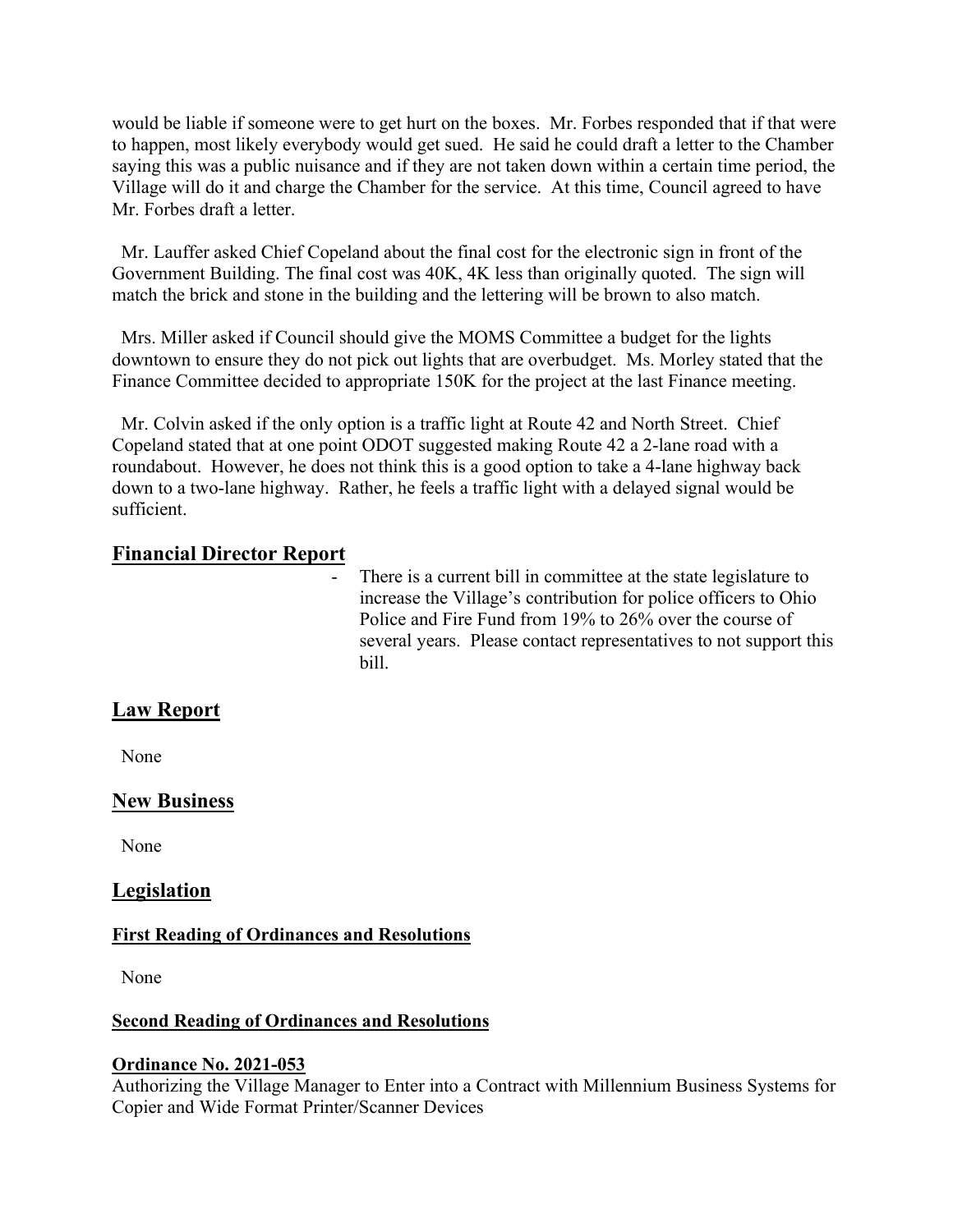would be liable if someone were to get hurt on the boxes. Mr. Forbes responded that if that were to happen, most likely everybody would get sued. He said he could draft a letter to the Chamber saying this was a public nuisance and if they are not taken down within a certain time period, the Village will do it and charge the Chamber for the service. At this time, Council agreed to have Mr. Forbes draft a letter.

 Mr. Lauffer asked Chief Copeland about the final cost for the electronic sign in front of the Government Building. The final cost was 40K, 4K less than originally quoted. The sign will match the brick and stone in the building and the lettering will be brown to also match.

 Mrs. Miller asked if Council should give the MOMS Committee a budget for the lights downtown to ensure they do not pick out lights that are overbudget. Ms. Morley stated that the Finance Committee decided to appropriate 150K for the project at the last Finance meeting.

 Mr. Colvin asked if the only option is a traffic light at Route 42 and North Street. Chief Copeland stated that at one point ODOT suggested making Route 42 a 2-lane road with a roundabout. However, he does not think this is a good option to take a 4-lane highway back down to a two-lane highway. Rather, he feels a traffic light with a delayed signal would be sufficient.

# **Financial Director Report**

There is a current bill in committee at the state legislature to increase the Village's contribution for police officers to Ohio Police and Fire Fund from 19% to 26% over the course of several years. Please contact representatives to not support this bill.

# **Law Report**

None

# **New Business**

None

# **Legislation**

### **First Reading of Ordinances and Resolutions**

None

### **Second Reading of Ordinances and Resolutions**

### **Ordinance No. 2021-053**

Authorizing the Village Manager to Enter into a Contract with Millennium Business Systems for Copier and Wide Format Printer/Scanner Devices